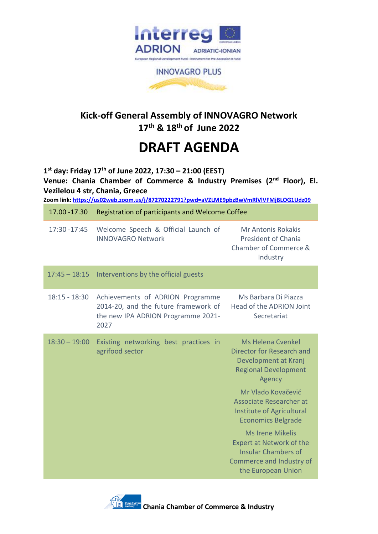

**INNOVAGRO PLUS** 

## **Kick-off General Assembly of INNOVAGRO Network 17th & 18th of June 2022**

# **DRAFT AGENDA**

**1 st day: Friday 17th of June 2022, 17:30 – 21:00 (EEST) Venue: Chania Chamber of Commerce & Industry Premises (2nd Floor), El. Vezilelou 4 str, Chania, Greece**

**Zoom link: <https://us02web.zoom.us/j/87270222791?pwd=aVZLME9pbzBwVmRlVlVFMjBLOG1Udz09>**

| 17.00 - 17.30   | Registration of participants and Welcome Coffee                                                                        |                                                                                                                                                                                                                                                                                                                               |
|-----------------|------------------------------------------------------------------------------------------------------------------------|-------------------------------------------------------------------------------------------------------------------------------------------------------------------------------------------------------------------------------------------------------------------------------------------------------------------------------|
| 17:30 - 17:45   | Welcome Speech & Official Launch of<br><b>INNOVAGRO Network</b>                                                        | <b>Mr Antonis Rokakis</b><br><b>President of Chania</b><br>Chamber of Commerce &<br>Industry                                                                                                                                                                                                                                  |
| $17:45 - 18:15$ | Interventions by the official guests                                                                                   |                                                                                                                                                                                                                                                                                                                               |
| $18:15 - 18:30$ | Achievements of ADRION Programme<br>2014-20, and the future framework of<br>the new IPA ADRION Programme 2021-<br>2027 | Ms Barbara Di Piazza<br>Head of the ADRION Joint<br>Secretariat                                                                                                                                                                                                                                                               |
| $18:30 - 19:00$ | Existing networking best practices in<br>agrifood sector                                                               | <b>Ms Helena Cvenkel</b><br>Director for Research and<br>Development at Kranj<br><b>Regional Development</b><br>Agency<br>Mr Vlado Kovačević<br>Associate Researcher at<br>Institute of Agricultural<br><b>Economics Belgrade</b><br><b>Ms Irene Mikelis</b><br><b>Expert at Network of the</b><br><b>Insular Chambers of</b> |
|                 |                                                                                                                        | Commerce and Industry of<br>the European Union                                                                                                                                                                                                                                                                                |